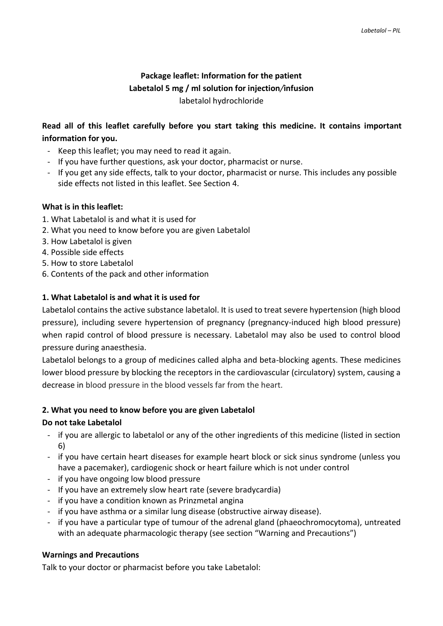# **Package leaflet: Information for the patient Labetalol 5 mg / ml solution for injection***/***infusion** labetalol hydrochloride

# **Read all of this leaflet carefully before you start taking this medicine. It contains important information for you.**

- Keep this leaflet; you may need to read it again.
- If you have further questions, ask your doctor, pharmacist or nurse.
- If you get any side effects, talk to your doctor, pharmacist or nurse. This includes any possible side effects not listed in this leaflet. See Section 4.

## **What is in this leaflet:**

- 1. What Labetalol is and what it is used for
- 2. What you need to know before you are given Labetalol
- 3. How Labetalol is given
- 4. Possible side effects
- 5. How to store Labetalol
- 6. Contents of the pack and other information

## **1. What Labetalol is and what it is used for**

Labetalol contains the active substance labetalol. It is used to treat severe hypertension (high blood pressure), including severe hypertension of pregnancy (pregnancy-induced high blood pressure) when rapid control of blood pressure is necessary. Labetalol may also be used to control blood pressure during anaesthesia.

Labetalol belongs to a group of medicines called alpha and beta-blocking agents. These medicines lower blood pressure by blocking the receptors in the cardiovascular (circulatory) system, causing a decrease in blood pressure in the blood vessels far from the heart.

## **2. What you need to know before you are given Labetalol**

# **Do not take Labetalol**

- if you are allergic to labetalol or any of the other ingredients of this medicine (listed in section 6)
- if you have certain heart diseases for example heart block or sick sinus syndrome (unless you have a pacemaker), cardiogenic shock or heart failure which is not under control
- if you have ongoing low blood pressure
- If you have an extremely slow heart rate (severe bradycardia)
- if you have a condition known as Prinzmetal angina
- if you have asthma or a similar lung disease (obstructive airway disease).
- if you have a particular type of tumour of the adrenal gland (phaeochromocytoma), untreated with an adequate pharmacologic therapy (see section "Warning and Precautions")

## **Warnings and Precautions**

Talk to your doctor or pharmacist before you take Labetalol: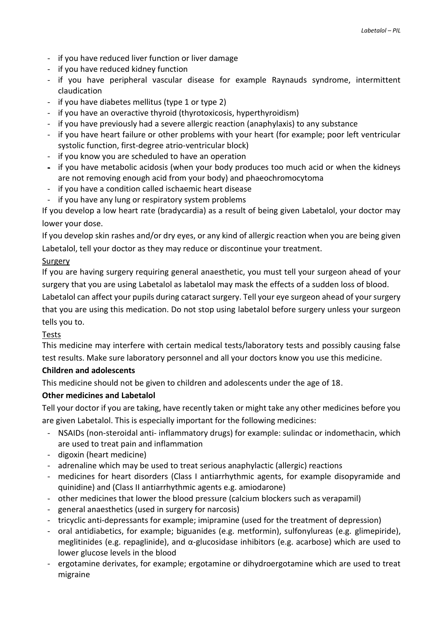- if you have reduced liver function or liver damage
- if you have reduced kidney function
- if you have peripheral vascular disease for example Raynauds syndrome, intermittent claudication
- if you have diabetes mellitus (type 1 or type 2)
- if you have an overactive thyroid (thyrotoxicosis, hyperthyroidism)
- if you have previously had a severe allergic reaction (anaphylaxis) to any substance
- if you have heart failure or other problems with your heart (for example; poor left ventricular systolic function, first-degree atrio-ventricular block)
- if you know you are scheduled to have an operation
- if you have metabolic acidosis (when your body produces too much acid or when the kidneys are not removing enough acid from your body) and phaeochromocytoma
- if you have a condition called ischaemic heart disease
- if you have any lung or respiratory system problems

If you develop a low heart rate (bradycardia) as a result of being given Labetalol, your doctor may lower your dose.

If you develop skin rashes and/or dry eyes, or any kind of allergic reaction when you are being given Labetalol, tell your doctor as they may reduce or discontinue your treatment.

## Surgery

If you are having surgery requiring general anaesthetic, you must tell your surgeon ahead of your surgery that you are using Labetalol as labetalol may mask the effects of a sudden loss of blood.

Labetalol can affect your pupils during cataract surgery. Tell your eye surgeon ahead of your surgery that you are using this medication. Do not stop using labetalol before surgery unless your surgeon tells you to.

## Tests

This medicine may interfere with certain medical tests/laboratory tests and possibly causing false test results. Make sure laboratory personnel and all your doctors know you use this medicine.

## **Children and adolescents**

This medicine should not be given to children and adolescents under the age of 18.

## **Other medicines and Labetalol**

Tell your doctor if you are taking, have recently taken or might take any other medicines before you are given Labetalol. This is especially important for the following medicines:

- NSAIDs (non-steroidal anti- inflammatory drugs) for example: sulindac or indomethacin, which are used to treat pain and inflammation
- digoxin (heart medicine)
- adrenaline which may be used to treat serious anaphylactic (allergic) reactions
- medicines for heart disorders (Class I antiarrhythmic agents, for example disopyramide and quinidine) and (Class II antiarrhythmic agents e.g. amiodarone)
- other medicines that lower the blood pressure (calcium blockers such as verapamil)
- general anaesthetics (used in surgery for narcosis)
- tricyclic anti-depressants for example; imipramine (used for the treatment of depression)
- oral antidiabetics, for example; biguanides (e.g. metformin), sulfonylureas (e.g. glimepiride), meglitinides (e.g. repaglinide), and  $\alpha$ -glucosidase inhibitors (e.g. acarbose) which are used to lower glucose levels in the blood
- ergotamine derivates, for example; ergotamine or dihydroergotamine which are used to treat migraine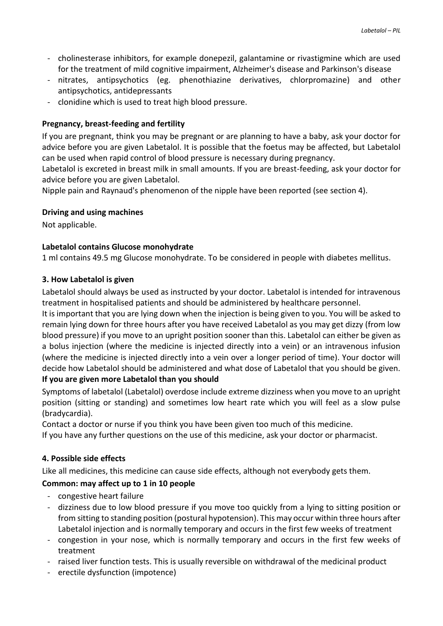- cholinesterase inhibitors, for example donepezil, galantamine or rivastigmine which are used for the treatment of mild cognitive impairment, Alzheimer's disease and Parkinson's disease
- nitrates, antipsychotics (eg. phenothiazine derivatives, chlorpromazine) and other antipsychotics, antidepressants
- clonidine which is used to treat high blood pressure.

## **Pregnancy, breast-feeding and fertility**

If you are pregnant, think you may be pregnant or are planning to have a baby, ask your doctor for advice before you are given Labetalol. It is possible that the foetus may be affected, but Labetalol can be used when rapid control of blood pressure is necessary during pregnancy.

Labetalol is excreted in breast milk in small amounts. If you are breast-feeding, ask your doctor for advice before you are given Labetalol.

Nipple pain and Raynaud's phenomenon of the nipple have been reported (see section 4).

#### **Driving and using machines**

Not applicable.

#### **Labetalol contains Glucose monohydrate**

1 ml contains 49.5 mg Glucose monohydrate. To be considered in people with diabetes mellitus.

#### **3. How Labetalol is given**

Labetalol should always be used as instructed by your doctor. Labetalol is intended for intravenous treatment in hospitalised patients and should be administered by healthcare personnel.

It is important that you are lying down when the injection is being given to you. You will be asked to remain lying down for three hours after you have received Labetalol as you may get dizzy (from low blood pressure) if you move to an upright position sooner than this. Labetalol can either be given as a bolus injection (where the medicine is injected directly into a vein) or an intravenous infusion (where the medicine is injected directly into a vein over a longer period of time). Your doctor will decide how Labetalol should be administered and what dose of Labetalol that you should be given. **If you are given more Labetalol than you should** 

Symptoms of labetalol (Labetalol) overdose include extreme dizziness when you move to an upright position (sitting or standing) and sometimes low heart rate which you will feel as a slow pulse (bradycardia).

Contact a doctor or nurse if you think you have been given too much of this medicine.

If you have any further questions on the use of this medicine, ask your doctor or pharmacist.

## **4. Possible side effects**

Like all medicines, this medicine can cause side effects, although not everybody gets them.

## **Common: may affect up to 1 in 10 people**

- congestive heart failure
- dizziness due to low blood pressure if you move too quickly from a lying to sitting position or from sitting to standing position (postural hypotension). This may occur within three hours after Labetalol injection and is normally temporary and occurs in the first few weeks of treatment
- congestion in your nose, which is normally temporary and occurs in the first few weeks of treatment
- raised liver function tests. This is usually reversible on withdrawal of the medicinal product
- erectile dysfunction (impotence)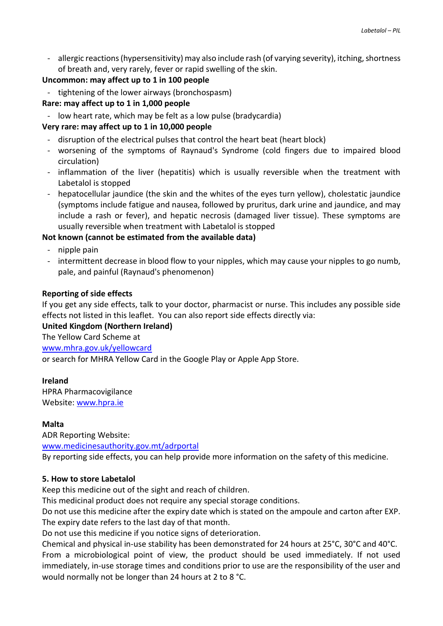- allergic reactions (hypersensitivity) may also include rash (of varying severity), itching, shortness of breath and, very rarely, fever or rapid swelling of the skin.

## **Uncommon: may affect up to 1 in 100 people**

- tightening of the lower airways (bronchospasm)
- **Rare: may affect up to 1 in 1,000 people**
- low heart rate, which may be felt as a low pulse (bradycardia)

## **Very rare: may affect up to 1 in 10,000 people**

- disruption of the electrical pulses that control the heart beat (heart block)
- worsening of the symptoms of Raynaud's Syndrome (cold fingers due to impaired blood circulation)
- inflammation of the liver (hepatitis) which is usually reversible when the treatment with Labetalol is stopped
- hepatocellular jaundice (the skin and the whites of the eyes turn yellow), cholestatic jaundice (symptoms include fatigue and nausea, followed by pruritus, dark urine and jaundice, and may include a rash or fever), and hepatic necrosis (damaged liver tissue). These symptoms are usually reversible when treatment with Labetalol is stopped

# **Not known (cannot be estimated from the available data)**

- nipple pain
- intermittent decrease in blood flow to your nipples, which may cause your nipples to go numb, pale, and painful (Raynaud's phenomenon)

## **Reporting of side effects**

If you get any side effects, talk to your doctor, pharmacist or nurse. This includes any possible side effects not listed in this leaflet. You can also report side effects directly via:

## **United Kingdom (Northern Ireland)**

The Yellow Card Scheme at [www.mhra.gov.uk/yellowcard](http://www.mhra.gov.uk/yellowcard) or search for MHRA Yellow Card in the Google Play or Apple App Store.

# **Ireland**

HPRA Pharmacovigilance Website: [www.hpra.ie](http://www.hpra.ie/)

## **Malta**

ADR Reporting Website: [www.medicinesauthority.gov.mt/adrportal](http://www.medicinesauthority.gov.mt/adrportal) By reporting side effects, you can help provide more information on the safety of this medicine.

## **5. How to store Labetalol**

Keep this medicine out of the sight and reach of children.

This medicinal product does not require any special storage conditions.

Do not use this medicine after the expiry date which is stated on the ampoule and carton after EXP. The expiry date refers to the last day of that month.

Do not use this medicine if you notice signs of deterioration.

Chemical and physical in-use stability has been demonstrated for 24 hours at 25°C, 30°C and 40°C. From a microbiological point of view, the product should be used immediately. If not used immediately, in-use storage times and conditions prior to use are the responsibility of the user and would normally not be longer than 24 hours at 2 to 8 °C.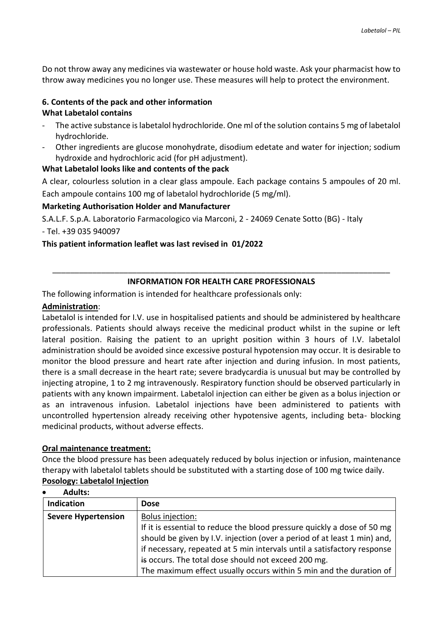Do not throw away any medicines via wastewater or house hold waste. Ask your pharmacist how to throw away medicines you no longer use. These measures will help to protect the environment.

## **6. Contents of the pack and other information What Labetalol contains**

- The active substance is labetalol hydrochloride. One ml of the solution contains 5 mg of labetalol hydrochloride.
- Other ingredients are glucose monohydrate, disodium edetate and water for injection; sodium hydroxide and hydrochloric acid (for pH adjustment).

## **What Labetalol looks like and contents of the pack**

A clear, colourless solution in a clear glass ampoule. Each package contains 5 ampoules of 20 ml. Each ampoule contains 100 mg of labetalol hydrochloride (5 mg/ml).

## **Marketing Authorisation Holder and Manufacturer**

S.A.L.F. S.p.A. Laboratorio Farmacologico via Marconi, 2 - 24069 Cenate Sotto (BG) - Italy - Tel. +39 035 940097

## **This patient information leaflet was last revised in 01/2022**

## \_\_\_\_\_\_\_\_\_\_\_\_\_\_\_\_\_\_\_\_\_\_\_\_\_\_\_\_\_\_\_\_\_\_\_\_\_\_\_\_\_\_\_\_\_\_\_\_\_\_\_\_\_\_\_\_\_\_\_\_\_\_\_\_\_\_\_\_\_\_\_\_\_\_\_\_ **INFORMATION FOR HEALTH CARE PROFESSIONALS**

The following information is intended for healthcare professionals only:

## **Administration**:

Labetalol is intended for I.V. use in hospitalised patients and should be administered by healthcare professionals. Patients should always receive the medicinal product whilst in the supine or left lateral position. Raising the patient to an upright position within 3 hours of I.V. labetalol administration should be avoided since excessive postural hypotension may occur. It is desirable to monitor the blood pressure and heart rate after injection and during infusion. In most patients, there is a small decrease in the heart rate; severe bradycardia is unusual but may be controlled by injecting atropine, 1 to 2 mg intravenously. Respiratory function should be observed particularly in patients with any known impairment. Labetalol injection can either be given as a bolus injection or as an intravenous infusion. Labetalol injections have been administered to patients with uncontrolled hypertension already receiving other hypotensive agents, including beta- blocking medicinal products, without adverse effects.

## **Oral maintenance treatment:**

Once the blood pressure has been adequately reduced by bolus injection or infusion, maintenance therapy with labetalol tablets should be substituted with a starting dose of 100 mg twice daily. **Posology: Labetalol Injection**

| AQUITS:                    |                                                                          |
|----------------------------|--------------------------------------------------------------------------|
| Indication                 | <b>Dose</b>                                                              |
| <b>Severe Hypertension</b> | Bolus injection:                                                         |
|                            | If it is essential to reduce the blood pressure quickly a dose of 50 mg  |
|                            | should be given by I.V. injection (over a period of at least 1 min) and, |
|                            | if necessary, repeated at 5 min intervals until a satisfactory response  |
|                            | is occurs. The total dose should not exceed 200 mg.                      |
|                            | The maximum effect usually occurs within 5 min and the duration of       |

# **Adults:**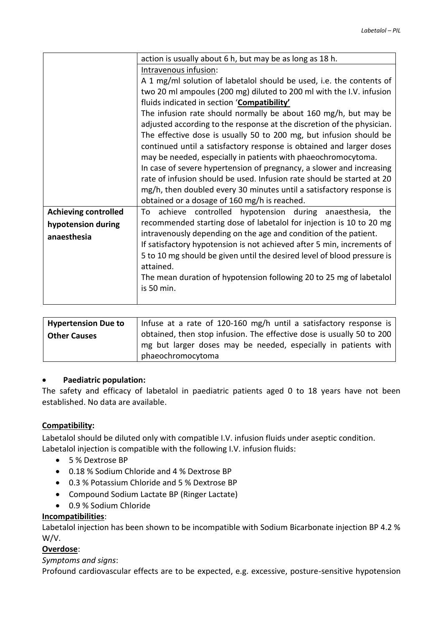|                             | action is usually about 6 h, but may be as long as 18 h.                          |
|-----------------------------|-----------------------------------------------------------------------------------|
|                             | Intravenous infusion:                                                             |
|                             | A 1 mg/ml solution of labetalol should be used, i.e. the contents of              |
|                             | two 20 ml ampoules (200 mg) diluted to 200 ml with the I.V. infusion              |
|                             | fluids indicated in section 'Compatibility'                                       |
|                             | The infusion rate should normally be about 160 mg/h, but may be                   |
|                             | adjusted according to the response at the discretion of the physician.            |
|                             | The effective dose is usually 50 to 200 mg, but infusion should be                |
|                             | continued until a satisfactory response is obtained and larger doses              |
|                             | may be needed, especially in patients with phaeochromocytoma.                     |
|                             | In case of severe hypertension of pregnancy, a slower and increasing              |
|                             | rate of infusion should be used. Infusion rate should be started at 20            |
|                             | mg/h, then doubled every 30 minutes until a satisfactory response is              |
|                             | obtained or a dosage of 160 mg/h is reached.                                      |
| <b>Achieving controlled</b> | achieve controlled hypotension during anaesthesia,<br>the<br>To                   |
| hypotension during          | recommended starting dose of labetalol for injection is 10 to 20 mg               |
| anaesthesia                 | intravenously depending on the age and condition of the patient.                  |
|                             | If satisfactory hypotension is not achieved after 5 min, increments of            |
|                             | 5 to 10 mg should be given until the desired level of blood pressure is           |
|                             | attained.                                                                         |
|                             | The mean duration of hypotension following 20 to 25 mg of labetalol<br>is 50 min. |
|                             |                                                                                   |
|                             |                                                                                   |

| Hypertension Due to | Infuse at a rate of 120-160 mg/h until a satisfactory response is     |
|---------------------|-----------------------------------------------------------------------|
| <b>Other Causes</b> | obtained, then stop infusion. The effective dose is usually 50 to 200 |
|                     | mg but larger doses may be needed, especially in patients with        |
|                     | phaeochromocytoma                                                     |

## **Paediatric population:**

The safety and efficacy of labetalol in paediatric patients aged 0 to 18 years have not been established. No data are available.

## **Compatibility:**

Labetalol should be diluted only with compatible I.V. infusion fluids under aseptic condition. Labetalol injection is compatible with the following I.V. infusion fluids:

- 5 % Dextrose BP
- 0.18 % Sodium Chloride and 4 % Dextrose BP
- 0.3 % Potassium Chloride and 5 % Dextrose BP
- Compound Sodium Lactate BP (Ringer Lactate)
- 0.9 % Sodium Chloride

#### **Incompatibilities**:

Labetalol injection has been shown to be incompatible with Sodium Bicarbonate injection BP 4.2 % W/V.

#### **Overdose**:

*Symptoms and signs*:

Profound cardiovascular effects are to be expected, e.g. excessive, posture-sensitive hypotension